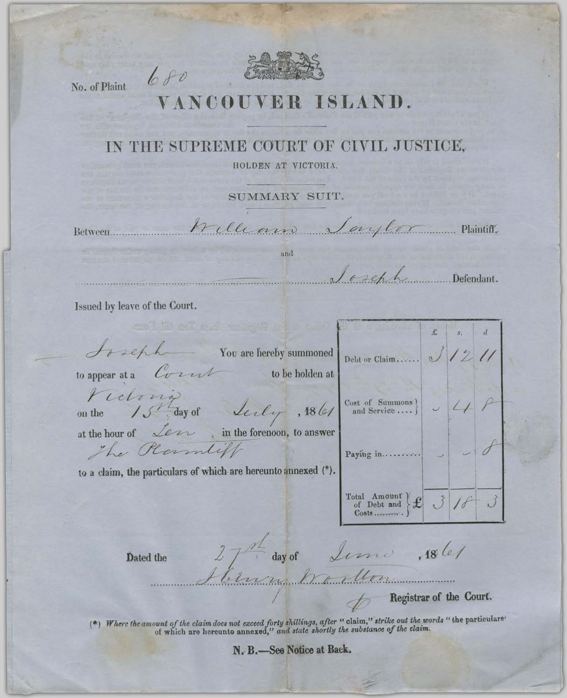

No. of Plaint

 $680$ 

## ISLAND. VCOUV

## IN THE SUPREME COURT OF CIVIL JUSTICE,

HOLDEN AT VICTORIA.

SUMMARY SUIT.

Between:

trilliano Saylor Plaintiff.

and

 $J$  or explored Defendant.

 $\sqrt{12}$ 

Issued by leave of the Court.

*Arachh* You are hereby summoned

to appear at a  $C_{\text{tr}}$  to be holden at

on the

Victoria Luly at the hour of Learn in the forenoon, to answer The Plannlift

and the street control

to a claim, the particulars of which are hereunto annexed (\*).

 $\left.\begin{array}{c|c}\n\text{Cost of } \text{Summons} \\
\text{and Service} \dots \end{array}\right\}\quad \swarrow\quad \swarrow$  $,186/$ Paying in..........  $\left.\begin{array}{l}\n\text{Total Amount} \\
\text{of Debt and} \\
\text{Costs.} \\
\end{array}\right\} \mathbf{\mathcal{L}} \quad \mathbf{\mathcal{J}}$ 

Debt or Claim......

Dated the

 $27<sup>22</sup>$  day of Lime,  $18$  let

Ernen Art Mon

Registrar of the Court.

(\*) Where the amount of the claim does not exceed forty shillings, after "claim," strike out the words "the particulars" of which are hereunto annexed," and state shortly the substance of the claim.

N. B.-See Notice at Back.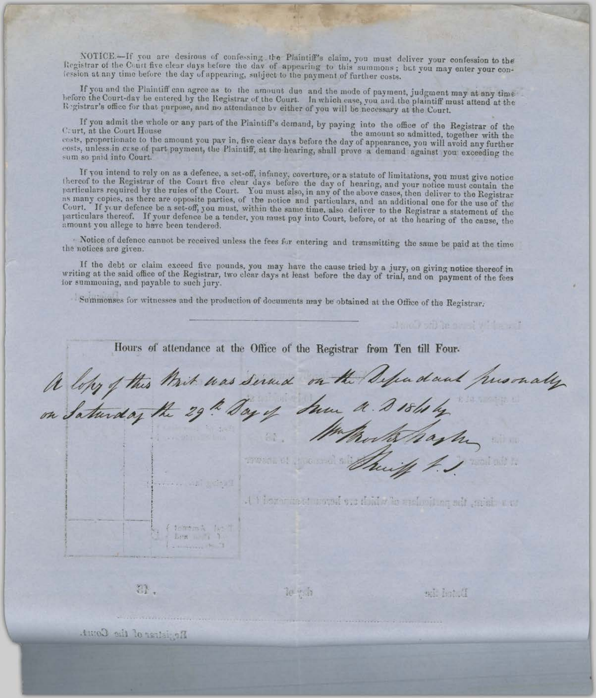NOTICE.-If you are desirous of confessing the Plaintiff's claim, you must deliver your confession to the Registrar of the Court five clear days before the day of appearing to this summons; but you may enter your conlession at any time before the day of appearing, subject to the payment of further costs.

If you and the Plaintiff can agree as to the amount due and the mode of payment, judgment may at any time before the Court-day be entered by the Registrar of the Court. In which case, you and the plaintiff must attend at the Registrar's office for that purpose, and no attendance by either of you will be necessary at the Court.

If you admit the whole or any part of the Plaintiff's demand, by paying into the office of the Registrar of the Caurt, at the Court House the amount so admitted, together with the costs, proportionate to the amount you pay in, five clear days before the day of appearance, you will avoid any further costs, unless in crse of part payment, the Plaintiff, at the hearing, shall prove a demand against you exceeding the sum so paid into Court.

If you intend to rely on as a defence, a set-off, infancy, coverture, or a statute of limitations, you must give notice thereof to the Registrar of the Court five clear days before the day of hearing, and your notice must contain the particulars required by the rules of the Court. You must also, in any of the above cases, then deliver to the Registrar as many copies, as there are opposite parties, of the notice and particulars, and an additional one fo Court. If your defence be a set-off, you must, within the same time, also deliver to the Registrar a statement of the particulars thereof. If your defence be a tender, you must pay into Court, before, or at the hearing of the cause, the amount you allege to have been tendered.

Notice of defence cannot be received unless the fees for entering and transmitting the same be paid at the time the notices are given.

If the debt or claim exceed five pounds, you may have the cause tried by a jury, on giving notice thereof in writing at the said office of the Registrar, two clear days at least before the day of trial, and on payment of the fees for summoning, and payable to such jury.

Summonses for witnesses and the production of documents may be obtained at the Office of the Registrar.

Hours of attendance at the Office of the Registrar from Ten till Four-A lopy of this Brit was served on the Sepadant presencity martes man thing ad and he The company of the a phonon and condensation which the network of a E tommen N N 1 best in Ti Ti

81.

 $10 + 5$ 

D. Jack ist

Jane Forth he are of Withers I

Neglistrar of the Court.